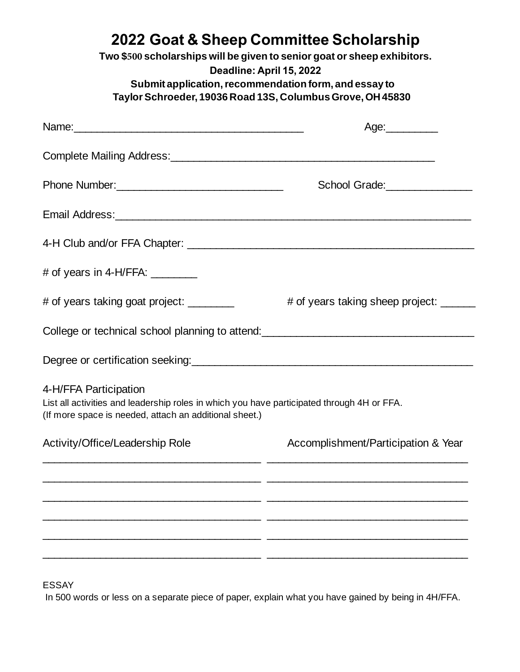# **2022 Goat & Sheep Committee Scholarship**

**Two \$500 scholarships will be given to senior goat or sheep exhibitors. Deadline: April 15, 2022 Submit application, recommendation form, and essay to Taylor Schroeder, 19036 Road 13S, Columbus Grove, OH 45830** 

| Name: Name:                                                                                                                                                                   | Age:                                |
|-------------------------------------------------------------------------------------------------------------------------------------------------------------------------------|-------------------------------------|
|                                                                                                                                                                               |                                     |
|                                                                                                                                                                               | School Grade:                       |
|                                                                                                                                                                               |                                     |
|                                                                                                                                                                               |                                     |
| # of years in 4-H/FFA: $\frac{1}{2}$                                                                                                                                          |                                     |
| # of years taking goat project: _________                                                                                                                                     | # of years taking sheep project:    |
| College or technical school planning to attend: _________________________________                                                                                             |                                     |
|                                                                                                                                                                               |                                     |
| 4-H/FFA Participation<br>List all activities and leadership roles in which you have participated through 4H or FFA.<br>(If more space is needed, attach an additional sheet.) |                                     |
| Activity/Office/Leadership Role                                                                                                                                               | Accomplishment/Participation & Year |
|                                                                                                                                                                               |                                     |
|                                                                                                                                                                               |                                     |
|                                                                                                                                                                               |                                     |
|                                                                                                                                                                               |                                     |

ESSAY

In 500 words or less on a separate piece of paper, explain what you have gained by being in 4H/FFA.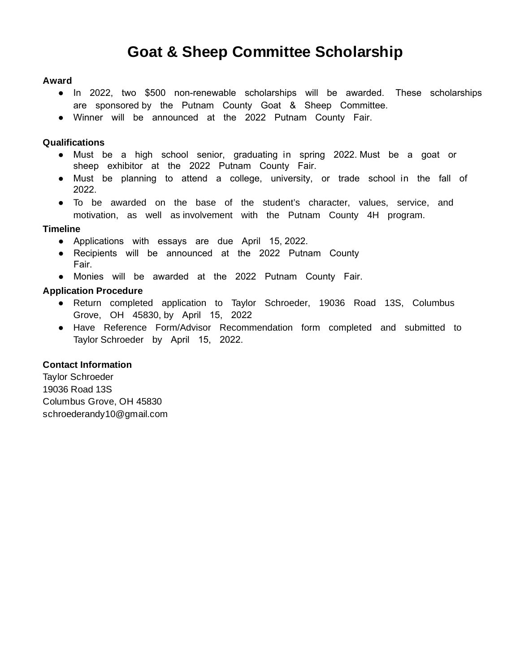# **Goat & Sheep Committee Scholarship**

#### **Award**

- In 2022, two \$500 non-renewable scholarships will be awarded. These scholarships are sponsored by the Putnam County Goat & Sheep Committee.
- Winner will be announced at the 2022 Putnam County Fair.

## **Qualifications**

- Must be a high school senior, graduating in spring 2022. Must be a goat or sheep exhibitor at the 2022 Putnam County Fair.
- Must be planning to attend a college, university, or trade school in the fall of 2022.
- To be awarded on the base of the student's character, values, service, and motivation, as well as involvement with the Putnam County 4H program.

#### **Timeline**

- Applications with essays are due April 15, 2022.
- Recipients will be announced at the 2022 Putnam County Fair.
- Monies will be awarded at the 2022 Putnam County Fair.

# **Application Procedure**

- Return completed application to Taylor Schroeder, 19036 Road 13S, Columbus Grove, OH 45830, by April 15, 2022
- Have Reference Form/Advisor Recommendation form completed and submitted to Taylor Schroeder by April 15, 2022.

# **Contact Information**

Taylor Schroeder 19036 Road 13S Columbus Grove, OH 45830 schroederandy10@gmail.com